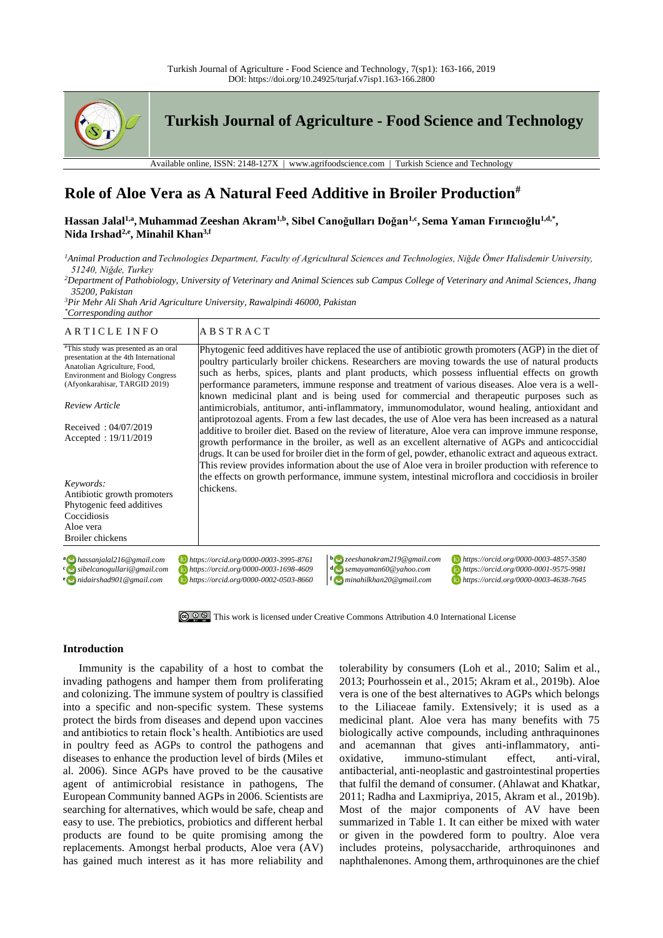

# **Role of Aloe Vera as A Natural Feed Additive in Broiler Production#**

**Hassan Jalal1,a , Muhammad Zeeshan Akram1,b, Sibel Canoğulları Doğan1,c , Sema Yaman Fırıncıoğlu1,d,\* , Nida Irshad2,e, Minahil Khan3,f**

*<sup>1</sup>Animal Production and Technologies Department, Faculty of Agricultural Sciences and Technologies, Niğde Ömer Halisdemir University, 51240, Niğde, Turkey*

*<sup>2</sup>Department of Pathobiology, University of Veterinary and Animal Sciences sub Campus College of Veterinary and Animal Sciences, Jhang 35200, Pakistan*

*<sup>3</sup>Pir Mehr Ali Shah Arid Agriculture University, Rawalpindi 46000, Pakistan \*Corresponding author*

| ARTICLE INFO                                                                                                                                                                              | <b>ABSTRACT</b>                                                                                                                                                                                                                                                                                                                                                                                                                                                                                                                                                                                                         |
|-------------------------------------------------------------------------------------------------------------------------------------------------------------------------------------------|-------------------------------------------------------------------------------------------------------------------------------------------------------------------------------------------------------------------------------------------------------------------------------------------------------------------------------------------------------------------------------------------------------------------------------------------------------------------------------------------------------------------------------------------------------------------------------------------------------------------------|
| "This study was presented as an oral<br>presentation at the 4th International<br>Anatolian Agriculture, Food,<br><b>Environment and Biology Congress</b><br>(Afyonkarahisar, TARGID 2019) | Phytogenic feed additives have replaced the use of antibiotic growth promoters (AGP) in the diet of<br>poultry particularly broiler chickens. Researchers are moving towards the use of natural products<br>such as herbs, spices, plants and plant products, which possess influential effects on growth<br>performance parameters, immune response and treatment of various diseases. Aloe vera is a well-                                                                                                                                                                                                            |
| <b>Review Article</b>                                                                                                                                                                     | known medicinal plant and is being used for commercial and therapeutic purposes such as<br>antimicrobials, antitumor, anti-inflammatory, immunomodulator, wound healing, antioxidant and<br>antiprotozoal agents. From a few last decades, the use of Aloe vera has been increased as a natural<br>additive to broiler diet. Based on the review of literature, Aloe vera can improve immune response,<br>growth performance in the broiler, as well as an excellent alternative of AGPs and anticoccidial<br>drugs. It can be used for broiler diet in the form of gel, powder, ethanolic extract and aqueous extract. |
| Received: 04/07/2019<br>Accepted: $19/11/2019$                                                                                                                                            |                                                                                                                                                                                                                                                                                                                                                                                                                                                                                                                                                                                                                         |
| Keywords:<br>Antibiotic growth promoters<br>Phytogenic feed additives<br>Coccidiosis<br>Aloe vera<br>Broiler chickens                                                                     | This review provides information about the use of Aloe vera in broiler production with reference to<br>the effects on growth performance, immune system, intestinal microflora and coccidiosis in broiler<br>chickens.                                                                                                                                                                                                                                                                                                                                                                                                  |
| $a \rightarrow$ hassanjalal216@gmail.com<br>com sibelcanogullari@gmail.com<br>$e$ nidairshad $901$ @ gmail.com                                                                            | $\mathbf{b}$ zeeshanakram219@gmail.com<br>https://orcid.org/0000-0003-4857-3580<br>https://orcid.org/0000-0003-3995-8761<br>b https://orcid.org/0000-0001-9575-9981<br>https://orcid.org/0000-0003-1698-4609<br>$\frac{d}{d}$ semayaman60@yahoo.com<br>https://orcid.org/0000-0002-0503-8660<br>$f_{\text{minahilkhan20@gmail.com}}$<br>https://orcid.org/0000-0003-4638-7645                                                                                                                                                                                                                                           |



## **Introduction**

Immunity is the capability of a host to combat the invading pathogens and hamper them from proliferating and colonizing. The immune system of poultry is classified into a specific and non-specific system. These systems protect the birds from diseases and depend upon vaccines and antibiotics to retain flock's health. Antibiotics are used in poultry feed as AGPs to control the pathogens and diseases to enhance the production level of birds (Miles et al. 2006). Since AGPs have proved to be the causative agent of antimicrobial resistance in pathogens, The European Community banned AGPs in 2006. Scientists are searching for alternatives, which would be safe, cheap and easy to use. The prebiotics, probiotics and different herbal products are found to be quite promising among the replacements. Amongst herbal products, Aloe vera (AV) has gained much interest as it has more reliability and

tolerability by consumers (Loh et al., 2010; Salim et al., 2013; Pourhossein et al., 2015; Akram et al., 2019b). Aloe vera is one of the best alternatives to AGPs which belongs to the Liliaceae family. Extensively; it is used as a medicinal plant. Aloe vera has many benefits with 75 biologically active compounds, including anthraquinones and acemannan that gives anti-inflammatory, antioxidative, immuno-stimulant effect, anti-viral, antibacterial, anti-neoplastic and gastrointestinal properties that fulfil the demand of consumer. (Ahlawat and Khatkar, 2011; Radha and Laxmipriya, 2015, Akram et al., 2019b). Most of the major components of AV have been summarized in Table 1. It can either be mixed with water or given in the powdered form to poultry. Aloe vera includes proteins, polysaccharide, arthroquinones and naphthalenones. Among them, arthroquinones are the chief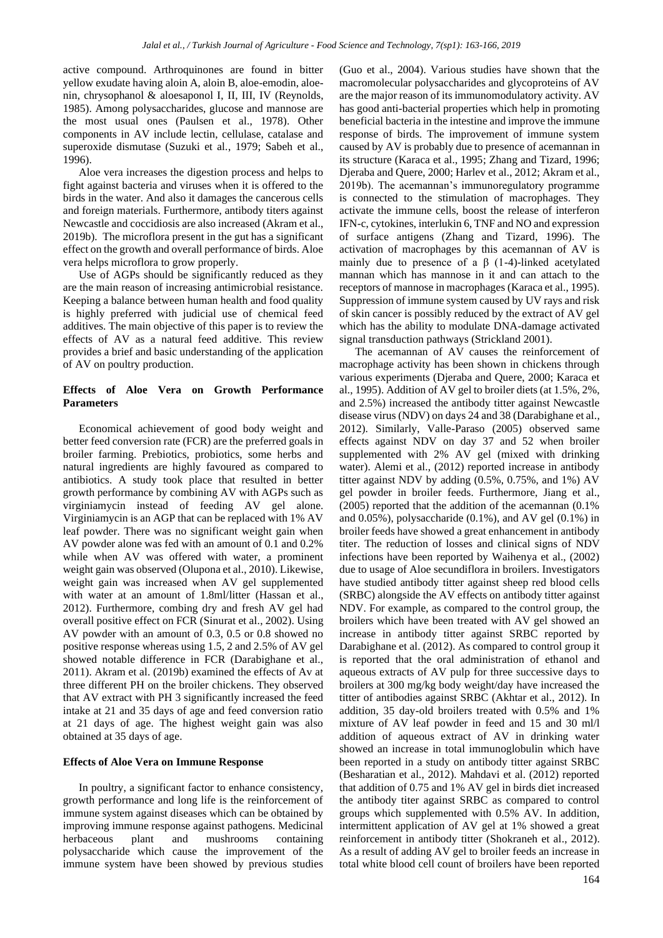active compound. Arthroquinones are found in bitter yellow exudate having aloin A, aloin B, aloe-emodin, aloenin, chrysophanol & aloesaponol I, II, III, IV (Reynolds, 1985). Among polysaccharides, glucose and mannose are the most usual ones (Paulsen et al., 1978). Other components in AV include lectin, cellulase, catalase and superoxide dismutase (Suzuki et al., 1979; Sabeh et al., 1996).

Aloe vera increases the digestion process and helps to fight against bacteria and viruses when it is offered to the birds in the water. And also it damages the cancerous cells and foreign materials. Furthermore, antibody titers against Newcastle and coccidiosis are also increased (Akram et al., 2019b). The microflora present in the gut has a significant effect on the growth and overall performance of birds. Aloe vera helps microflora to grow properly.

Use of AGPs should be significantly reduced as they are the main reason of increasing antimicrobial resistance. Keeping a balance between human health and food quality is highly preferred with judicial use of chemical feed additives. The main objective of this paper is to review the effects of AV as a natural feed additive. This review provides a brief and basic understanding of the application of AV on poultry production.

## **Effects of Aloe Vera on Growth Performance Parameters**

Economical achievement of good body weight and better feed conversion rate (FCR) are the preferred goals in broiler farming. Prebiotics, probiotics, some herbs and natural ingredients are highly favoured as compared to antibiotics. A study took place that resulted in better growth performance by combining AV with AGPs such as virginiamycin instead of feeding AV gel alone. Virginiamycin is an AGP that can be replaced with 1% AV leaf powder. There was no significant weight gain when AV powder alone was fed with an amount of 0.1 and 0.2% while when AV was offered with water, a prominent weight gain was observed (Olupona et al., 2010). Likewise, weight gain was increased when AV gel supplemented with water at an amount of 1.8ml/litter (Hassan et al., 2012). Furthermore, combing dry and fresh AV gel had overall positive effect on FCR (Sinurat et al., 2002). Using AV powder with an amount of 0.3, 0.5 or 0.8 showed no positive response whereas using 1.5, 2 and 2.5% of AV gel showed notable difference in FCR (Darabighane et al., 2011). Akram et al. (2019b) examined the effects of Av at three different PH on the broiler chickens. They observed that AV extract with PH 3 significantly increased the feed intake at 21 and 35 days of age and feed conversion ratio at 21 days of age. The highest weight gain was also obtained at 35 days of age.

## **Effects of Aloe Vera on Immune Response**

In poultry, a significant factor to enhance consistency, growth performance and long life is the reinforcement of immune system against diseases which can be obtained by improving immune response against pathogens. Medicinal herbaceous plant and mushrooms containing polysaccharide which cause the improvement of the immune system have been showed by previous studies

(Guo et al., 2004). Various studies have shown that the macromolecular polysaccharides and glycoproteins of AV are the major reason of its immunomodulatory activity. AV has good anti-bacterial properties which help in promoting beneficial bacteria in the intestine and improve the immune response of birds. The improvement of immune system caused by AV is probably due to presence of acemannan in its structure (Karaca et al., 1995; Zhang and Tizard, 1996; Djeraba and Quere, 2000; Harlev et al., 2012; Akram et al., 2019b). The acemannan's immunoregulatory programme is connected to the stimulation of macrophages. They activate the immune cells, boost the release of interferon IFN-c, cytokines, interlukin 6, TNF and NO and expression of surface antigens (Zhang and Tizard, 1996). The activation of macrophages by this acemannan of AV is mainly due to presence of a  $\beta$  (1-4)-linked acetylated mannan which has mannose in it and can attach to the receptors of mannose in macrophages (Karaca et al., 1995). Suppression of immune system caused by UV rays and risk of skin cancer is possibly reduced by the extract of AV gel which has the ability to modulate DNA-damage activated signal transduction pathways (Strickland 2001).

The acemannan of AV causes the reinforcement of macrophage activity has been shown in chickens through various experiments (Djeraba and Quere, 2000; Karaca et al., 1995). Addition of AV gel to broiler diets (at 1.5%, 2%, and 2.5%) increased the antibody titter against Newcastle disease virus (NDV) on days 24 and 38 (Darabighane et al., 2012). Similarly, Valle-Paraso (2005) observed same effects against NDV on day 37 and 52 when broiler supplemented with 2% AV gel (mixed with drinking water). Alemi et al., (2012) reported increase in antibody titter against NDV by adding (0.5%, 0.75%, and 1%) AV gel powder in broiler feeds. Furthermore, Jiang et al., (2005) reported that the addition of the acemannan (0.1% and 0.05%), polysaccharide (0.1%), and AV gel (0.1%) in broiler feeds have showed a great enhancement in antibody titer. The reduction of losses and clinical signs of NDV infections have been reported by Waihenya et al., (2002) due to usage of Aloe secundiflora in broilers. Investigators have studied antibody titter against sheep red blood cells (SRBC) alongside the AV effects on antibody titter against NDV. For example, as compared to the control group, the broilers which have been treated with AV gel showed an increase in antibody titter against SRBC reported by Darabighane et al. (2012). As compared to control group it is reported that the oral administration of ethanol and aqueous extracts of AV pulp for three successive days to broilers at 300 mg/kg body weight/day have increased the titter of antibodies against SRBC (Akhtar et al., 2012). In addition, 35 day-old broilers treated with 0.5% and 1% mixture of AV leaf powder in feed and 15 and 30 ml/l addition of aqueous extract of AV in drinking water showed an increase in total immunoglobulin which have been reported in a study on antibody titter against SRBC (Besharatian et al., 2012). Mahdavi et al. (2012) reported that addition of 0.75 and 1% AV gel in birds diet increased the antibody titer against SRBC as compared to control groups which supplemented with 0.5% AV. In addition, intermittent application of AV gel at 1% showed a great reinforcement in antibody titter (Shokraneh et al., 2012). As a result of adding AV gel to broiler feeds an increase in total white blood cell count of broilers have been reported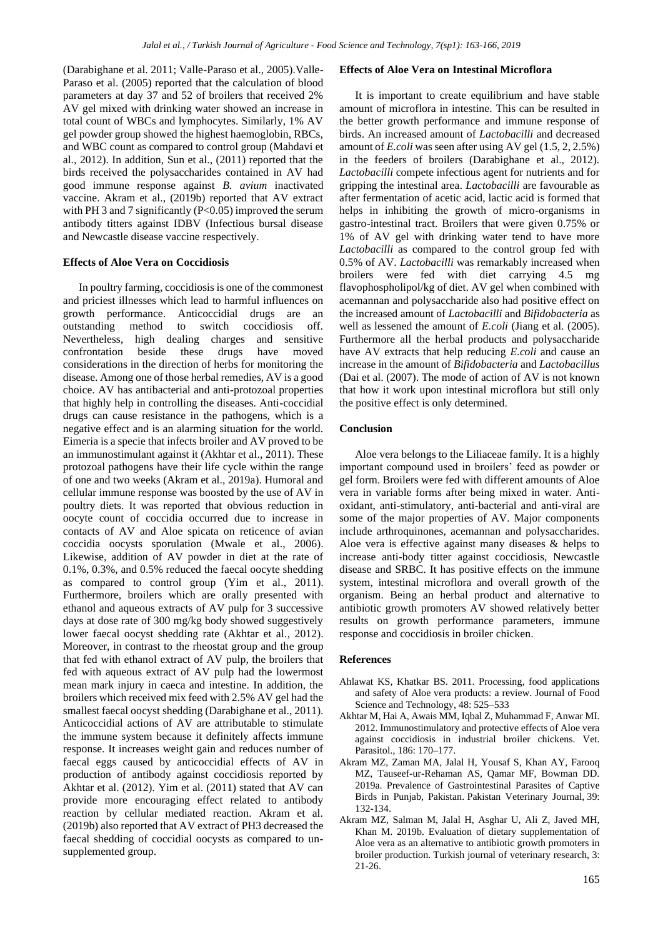(Darabighane et al. 2011; Valle-Paraso et al., 2005).Valle-Paraso et al. (2005) reported that the calculation of blood parameters at day 37 and 52 of broilers that received 2% AV gel mixed with drinking water showed an increase in total count of WBCs and lymphocytes. Similarly, 1% AV gel powder group showed the highest haemoglobin, RBCs, and WBC count as compared to control group (Mahdavi et al., 2012). In addition, Sun et al., (2011) reported that the birds received the polysaccharides contained in AV had good immune response against *B. avium* inactivated vaccine. Akram et al., (2019b) reported that AV extract with PH 3 and 7 significantly (P<0.05) improved the serum antibody titters against IDBV (Infectious bursal disease and Newcastle disease vaccine respectively.

## **Effects of Aloe Vera on Coccidiosis**

In poultry farming, coccidiosis is one of the commonest and priciest illnesses which lead to harmful influences on growth performance. Anticoccidial drugs are an outstanding method to switch coccidiosis off. Nevertheless, high dealing charges and sensitive confrontation beside these drugs have moved considerations in the direction of herbs for monitoring the disease. Among one of those herbal remedies, AV is a good choice. AV has antibacterial and anti-protozoal properties that highly help in controlling the diseases. Anti-coccidial drugs can cause resistance in the pathogens, which is a negative effect and is an alarming situation for the world. Eimeria is a specie that infects broiler and AV proved to be an immunostimulant against it (Akhtar et al., 2011). These protozoal pathogens have their life cycle within the range of one and two weeks (Akram et al., 2019a). Humoral and cellular immune response was boosted by the use of AV in poultry diets. It was reported that obvious reduction in oocyte count of coccidia occurred due to increase in contacts of AV and Aloe spicata on reticence of avian coccidia oocysts sporulation (Mwale et al., 2006). Likewise, addition of AV powder in diet at the rate of 0.1%, 0.3%, and 0.5% reduced the faecal oocyte shedding as compared to control group (Yim et al., 2011). Furthermore, broilers which are orally presented with ethanol and aqueous extracts of AV pulp for 3 successive days at dose rate of 300 mg/kg body showed suggestively lower faecal oocyst shedding rate (Akhtar et al., 2012). Moreover, in contrast to the rheostat group and the group that fed with ethanol extract of AV pulp, the broilers that fed with aqueous extract of AV pulp had the lowermost mean mark injury in caeca and intestine. In addition, the broilers which received mix feed with 2.5% AV gel had the smallest faecal oocyst shedding (Darabighane et al., 2011). Anticoccidial actions of AV are attributable to stimulate the immune system because it definitely affects immune response. It increases weight gain and reduces number of faecal eggs caused by anticoccidial effects of AV in production of antibody against coccidiosis reported by Akhtar et al. (2012). Yim et al. (2011) stated that AV can provide more encouraging effect related to antibody reaction by cellular mediated reaction. Akram et al. (2019b) also reported that AV extract of PH3 decreased the faecal shedding of coccidial oocysts as compared to unsupplemented group.

#### **Effects of Aloe Vera on Intestinal Microflora**

It is important to create equilibrium and have stable amount of microflora in intestine. This can be resulted in the better growth performance and immune response of birds. An increased amount of *Lactobacilli* and decreased amount of *E.coli* was seen after using AV gel (1.5, 2, 2.5%) in the feeders of broilers (Darabighane et al., 2012). *Lactobacilli* compete infectious agent for nutrients and for gripping the intestinal area. *Lactobacilli* are favourable as after fermentation of acetic acid, lactic acid is formed that helps in inhibiting the growth of micro-organisms in gastro-intestinal tract. Broilers that were given 0.75% or 1% of AV gel with drinking water tend to have more *Lactobacilli* as compared to the control group fed with 0.5% of AV. *Lactobacilli* was remarkably increased when broilers were fed with diet carrying 4.5 mg flavophospholipol/kg of diet. AV gel when combined with acemannan and polysaccharide also had positive effect on the increased amount of *Lactobacilli* and *Bifidobacteria* as well as lessened the amount of *E.coli* (Jiang et al. (2005). Furthermore all the herbal products and polysaccharide have AV extracts that help reducing *E.coli* and cause an increase in the amount of *Bifidobacteria* and *Lactobacillus* (Dai et al. (2007). The mode of action of AV is not known that how it work upon intestinal microflora but still only the positive effect is only determined.

#### **Conclusion**

Aloe vera belongs to the Liliaceae family. It is a highly important compound used in broilers' feed as powder or gel form. Broilers were fed with different amounts of Aloe vera in variable forms after being mixed in water. Antioxidant, anti-stimulatory, anti-bacterial and anti-viral are some of the major properties of AV. Major components include arthroquinones, acemannan and polysaccharides. Aloe vera is effective against many diseases & helps to increase anti-body titter against coccidiosis, Newcastle disease and SRBC. It has positive effects on the immune system, intestinal microflora and overall growth of the organism. Being an herbal product and alternative to antibiotic growth promoters AV showed relatively better results on growth performance parameters, immune response and coccidiosis in broiler chicken.

#### **References**

- Ahlawat KS, Khatkar BS. 2011. Processing, food applications and safety of Aloe vera products: a review. Journal of Food Science and Technology, 48: 525–533
- Akhtar M, Hai A, Awais MM, Iqbal Z, Muhammad F, Anwar MI. 2012. Immunostimulatory and protective effects of Aloe vera against coccidiosis in industrial broiler chickens. Vet. Parasitol., 186: 170–177.
- Akram MZ, Zaman MA, Jalal H, Yousaf S, Khan AY, Farooq MZ, Tauseef-ur-Rehaman AS, Qamar MF, Bowman DD. 2019a. Prevalence of Gastrointestinal Parasites of Captive Birds in Punjab, Pakistan. Pakistan Veterinary Journal, 39: 132-134.
- Akram MZ, Salman M, Jalal H, Asghar U, Ali Z, Javed MH, Khan M. 2019b. Evaluation of dietary supplementation of Aloe vera as an alternative to antibiotic growth promoters in broiler production. Turkish journal of veterinary research, 3: 21-26.